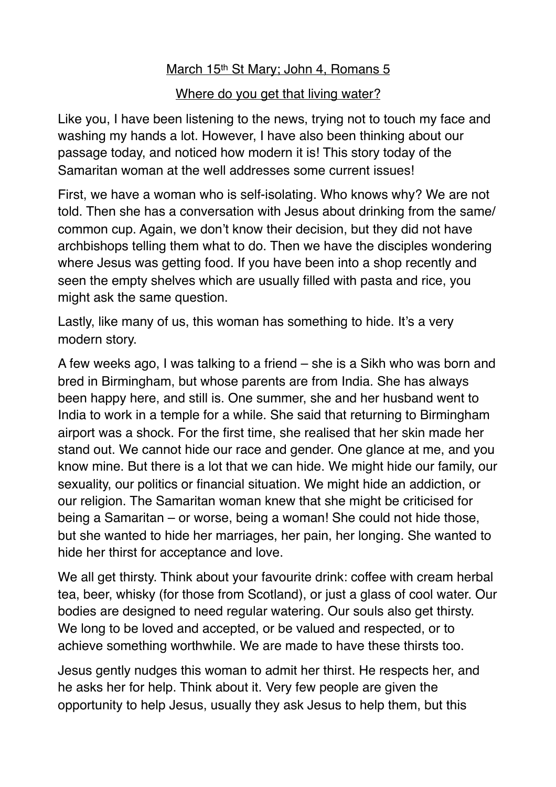## March 15<sup>th</sup> St Mary; John 4, Romans 5

## Where do you get that living water?

Like you, I have been listening to the news, trying not to touch my face and washing my hands a lot. However, I have also been thinking about our passage today, and noticed how modern it is! This story today of the Samaritan woman at the well addresses some current issues!

First, we have a woman who is self-isolating. Who knows why? We are not told. Then she has a conversation with Jesus about drinking from the same/ common cup. Again, we don't know their decision, but they did not have archbishops telling them what to do. Then we have the disciples wondering where Jesus was getting food. If you have been into a shop recently and seen the empty shelves which are usually filled with pasta and rice, you might ask the same question.

Lastly, like many of us, this woman has something to hide. It's a very modern story.

A few weeks ago, I was talking to a friend – she is a Sikh who was born and bred in Birmingham, but whose parents are from India. She has always been happy here, and still is. One summer, she and her husband went to India to work in a temple for a while. She said that returning to Birmingham airport was a shock. For the first time, she realised that her skin made her stand out. We cannot hide our race and gender. One glance at me, and you know mine. But there is a lot that we can hide. We might hide our family, our sexuality, our politics or financial situation. We might hide an addiction, or our religion. The Samaritan woman knew that she might be criticised for being a Samaritan – or worse, being a woman! She could not hide those, but she wanted to hide her marriages, her pain, her longing. She wanted to hide her thirst for acceptance and love.

We all get thirsty. Think about your favourite drink: coffee with cream herbal tea, beer, whisky (for those from Scotland), or just a glass of cool water. Our bodies are designed to need regular watering. Our souls also get thirsty. We long to be loved and accepted, or be valued and respected, or to achieve something worthwhile. We are made to have these thirsts too.

Jesus gently nudges this woman to admit her thirst. He respects her, and he asks her for help. Think about it. Very few people are given the opportunity to help Jesus, usually they ask Jesus to help them, but this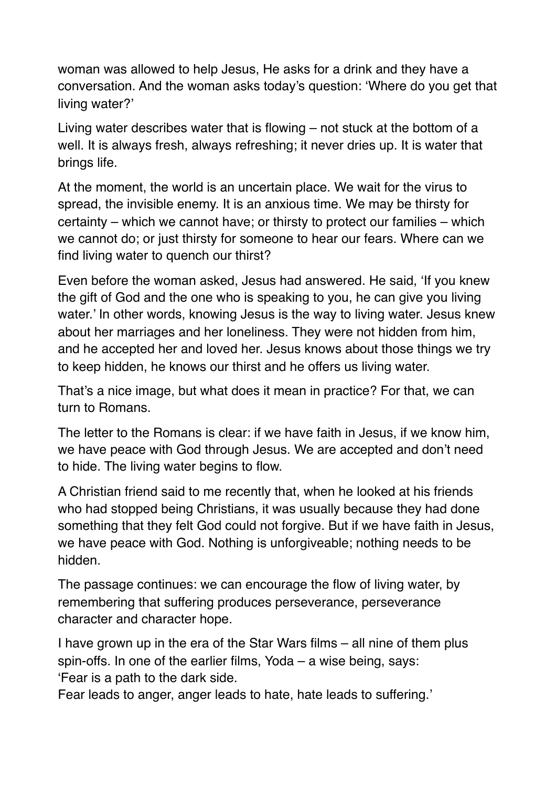woman was allowed to help Jesus, He asks for a drink and they have a conversation. And the woman asks today's question: 'Where do you get that living water?'

Living water describes water that is flowing – not stuck at the bottom of a well. It is always fresh, always refreshing; it never dries up. It is water that brings life.

At the moment, the world is an uncertain place. We wait for the virus to spread, the invisible enemy. It is an anxious time. We may be thirsty for certainty – which we cannot have; or thirsty to protect our families – which we cannot do; or just thirsty for someone to hear our fears. Where can we find living water to quench our thirst?

Even before the woman asked, Jesus had answered. He said, 'If you knew the gift of God and the one who is speaking to you, he can give you living water.' In other words, knowing Jesus is the way to living water. Jesus knew about her marriages and her loneliness. They were not hidden from him, and he accepted her and loved her. Jesus knows about those things we try to keep hidden, he knows our thirst and he offers us living water.

That's a nice image, but what does it mean in practice? For that, we can turn to Romans.

The letter to the Romans is clear: if we have faith in Jesus, if we know him, we have peace with God through Jesus. We are accepted and don't need to hide. The living water begins to flow.

A Christian friend said to me recently that, when he looked at his friends who had stopped being Christians, it was usually because they had done something that they felt God could not forgive. But if we have faith in Jesus, we have peace with God. Nothing is unforgiveable; nothing needs to be hidden.

The passage continues: we can encourage the flow of living water, by remembering that suffering produces perseverance, perseverance character and character hope.

I have grown up in the era of the Star Wars films – all nine of them plus spin-offs. In one of the earlier films, Yoda – a wise being, says: 'Fear is a path to the dark side.

Fear leads to anger, anger leads to hate, hate leads to suffering.'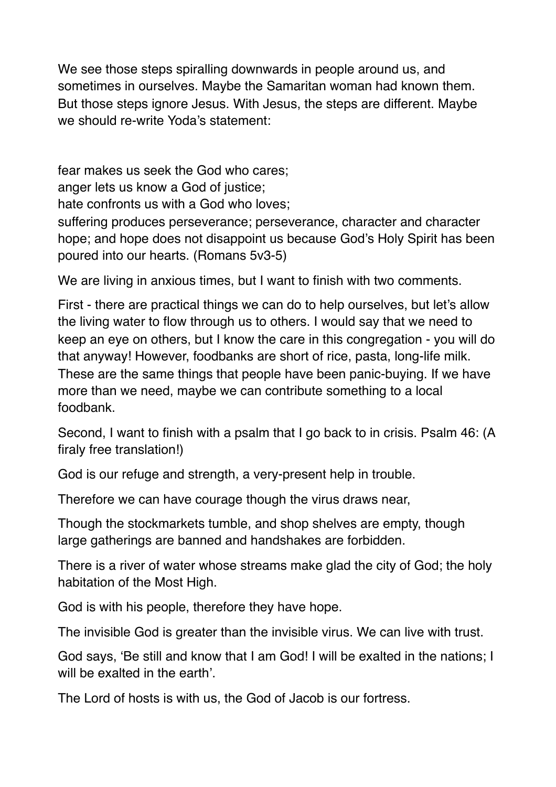We see those steps spiralling downwards in people around us, and sometimes in ourselves. Maybe the Samaritan woman had known them. But those steps ignore Jesus. With Jesus, the steps are different. Maybe we should re-write Yoda's statement:

fear makes us seek the God who cares; anger lets us know a God of justice; hate confronts us with a God who loves;

suffering produces perseverance; perseverance, character and character hope; and hope does not disappoint us because God's Holy Spirit has been poured into our hearts. (Romans 5v3-5)

We are living in anxious times, but I want to finish with two comments.

First - there are practical things we can do to help ourselves, but let's allow the living water to flow through us to others. I would say that we need to keep an eye on others, but I know the care in this congregation - you will do that anyway! However, foodbanks are short of rice, pasta, long-life milk. These are the same things that people have been panic-buying. If we have more than we need, maybe we can contribute something to a local foodbank.

Second, I want to finish with a psalm that I go back to in crisis. Psalm 46: (A firaly free translation!)

God is our refuge and strength, a very-present help in trouble.

Therefore we can have courage though the virus draws near,

Though the stockmarkets tumble, and shop shelves are empty, though large gatherings are banned and handshakes are forbidden.

There is a river of water whose streams make glad the city of God; the holy habitation of the Most High.

God is with his people, therefore they have hope.

The invisible God is greater than the invisible virus. We can live with trust.

God says, 'Be still and know that I am God! I will be exalted in the nations; I will be exalted in the earth'.

The Lord of hosts is with us, the God of Jacob is our fortress.